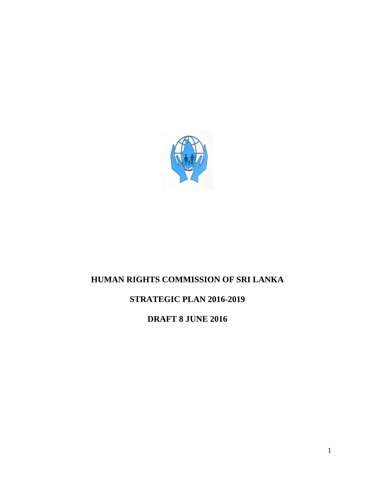

# **HUMAN RIGHTS COMMISSION OF SRI LANKA**

## **STRATEGIC PLAN 2016-2019**

**DRAFT 8 JUNE 2016**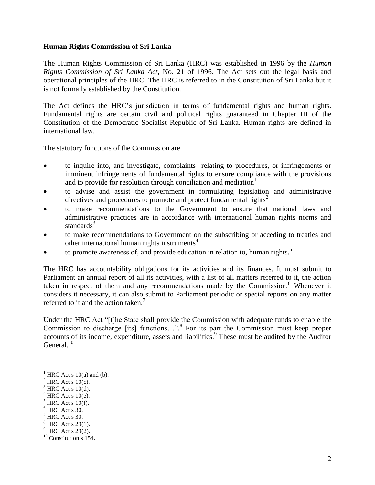#### **Human Rights Commission of Sri Lanka**

The Human Rights Commission of Sri Lanka (HRC) was established in 1996 by the *Human Rights Commission of Sri Lanka Act*, No. 21 of 1996. The Act sets out the legal basis and operational principles of the HRC. The HRC is referred to in the Constitution of Sri Lanka but it is not formally established by the Constitution.

The Act defines the HRC's jurisdiction in terms of fundamental rights and human rights. Fundamental rights are certain civil and political rights guaranteed in Chapter III of the Constitution of the Democratic Socialist Republic of Sri Lanka. Human rights are defined in international law.

The statutory functions of the Commission are

- to inquire into, and investigate, complaints relating to procedures, or infringements or imminent infringements of fundamental rights to ensure compliance with the provisions and to provide for resolution through conciliation and mediation<sup>1</sup>
- to advise and assist the government in formulating legislation and administrative directives and procedures to promote and protect fundamental rights<sup>2</sup>
- to make recommendations to the Government to ensure that national laws and administrative practices are in accordance with international human rights norms and standards $3$
- to make recommendations to Government on the subscribing or acceding to treaties and other international human rights instruments<sup>4</sup>
- to promote awareness of, and provide education in relation to, human rights.<sup>5</sup>

The HRC has accountability obligations for its activities and its finances. It must submit to Parliament an annual report of all its activities, with a list of all matters referred to it, the action taken in respect of them and any recommendations made by the Commission.<sup>6</sup> Whenever it considers it necessary, it can also submit to Parliament periodic or special reports on any matter referred to it and the action taken.<sup>7</sup>

Under the HRC Act "[t]he State shall provide the Commission with adequate funds to enable the Commission to discharge [its] functions…". 8 For its part the Commission must keep proper accounts of its income, expenditure, assets and liabilities.<sup>9</sup> These must be audited by the Auditor General.<sup>10</sup>

 $\overline{a}$ 

- $<sup>5</sup>$  HRC Act s 10(f).</sup>
- $<sup>6</sup>$  HRC Act s 30.</sup>
- $<sup>7</sup>$  HRC Act s 30.</sup>
- $8$  HRC Act s 29(1).
- $<sup>9</sup>$  HRC Act s 29(2).</sup>

HRC Act s  $10(a)$  and (b).

 $2$  HRC Act s 10(c).

 $3$  HRC Act s 10(d).

 $4$  HRC Act s 10(e).

 $10$  Constitution s 154.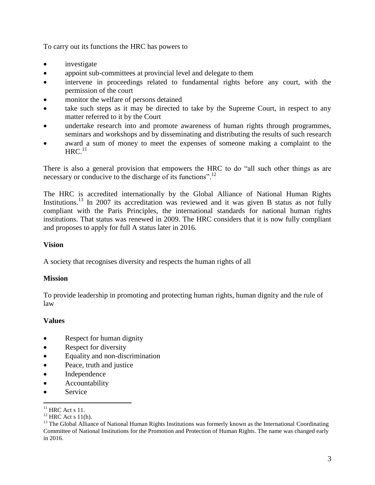To carry out its functions the HRC has powers to

- investigate
- appoint sub-committees at provincial level and delegate to them
- intervene in proceedings related to fundamental rights before any court, with the permission of the court
- monitor the welfare of persons detained
- take such steps as it may be directed to take by the Supreme Court, in respect to any matter referred to it by the Court
- undertake research into and promote awareness of human rights through programmes, seminars and workshops and by disseminating and distributing the results of such research
- award a sum of money to meet the expenses of someone making a complaint to the  $\mathrm{HRC.}^{11}$

There is also a general provision that empowers the HRC to do "all such other things as are necessary or conducive to the discharge of its functions".<sup>12</sup>

The HRC is accredited internationally by the Global Alliance of National Human Rights Institutions.<sup>13</sup> In 2007 its accreditation was reviewed and it was given B status as not fully compliant with the Paris Principles, the international standards for national human rights institutions. That status was renewed in 2009. The HRC considers that it is now fully compliant and proposes to apply for full A status later in 2016.

#### **Vision**

A society that recognises diversity and respects the human rights of all

#### **Mission**

To provide leadership in promoting and protecting human rights, human dignity and the rule of law

#### **Values**

- Respect for human dignity
- Respect for diversity
- Equality and non-discrimination
- Peace, truth and justice
- Independence
- Accountability
- Service

 $\overline{a}$ 

 $11$  HRC Act s 11.

 $12$  HRC Act s 11(h).

<sup>&</sup>lt;sup>13</sup> The Global Alliance of National Human Rights Institutions was formerly known as the International Coordinating Committee of National Institutions for the Promotion and Protection of Human Rights. The name was changed early in 2016.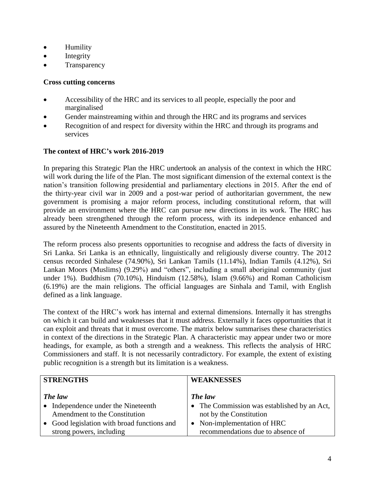- Humility
- $\bullet$  Integrity
- **Transparency**

#### **Cross cutting concerns**

- Accessibility of the HRC and its services to all people, especially the poor and marginalised
- Gender mainstreaming within and through the HRC and its programs and services
- Recognition of and respect for diversity within the HRC and through its programs and services

### **The context of HRC's work 2016-2019**

In preparing this Strategic Plan the HRC undertook an analysis of the context in which the HRC will work during the life of the Plan. The most significant dimension of the external context is the nation's transition following presidential and parliamentary elections in 2015. After the end of the thirty-year civil war in 2009 and a post-war period of authoritarian government, the new government is promising a major reform process, including constitutional reform, that will provide an environment where the HRC can pursue new directions in its work. The HRC has already been strengthened through the reform process, with its independence enhanced and assured by the Nineteenth Amendment to the Constitution, enacted in 2015.

The reform process also presents opportunities to recognise and address the facts of diversity in Sri Lanka. Sri Lanka is an ethnically, linguistically and religiously diverse country. The 2012 census recorded Sinhalese (74.90%), Sri Lankan Tamils (11.14%), Indian Tamils (4.12%), Sri Lankan Moors (Muslims) (9.29%) and "others", including a small aboriginal community (just under 1%). Buddhism (70.10%), Hinduism (12.58%), Islam (9.66%) and Roman Catholicism (6.19%) are the main religions. The official languages are Sinhala and Tamil, with English defined as a link language.

The context of the HRC's work has internal and external dimensions. Internally it has strengths on which it can build and weaknesses that it must address. Externally it faces opportunities that it can exploit and threats that it must overcome. The matrix below summarises these characteristics in context of the directions in the Strategic Plan. A characteristic may appear under two or more headings, for example, as both a strength and a weakness. This reflects the analysis of HRC Commissioners and staff. It is not necessarily contradictory. For example, the extent of existing public recognition is a strength but its limitation is a weakness.

| <b>STRENGTHS</b>                            | <b>WEAKNESSES</b>                           |
|---------------------------------------------|---------------------------------------------|
| The law                                     | The law                                     |
| • Independence under the Nineteenth         | • The Commission was established by an Act, |
| Amendment to the Constitution               | not by the Constitution                     |
| • Good legislation with broad functions and | • Non-implementation of HRC                 |
| strong powers, including                    | recommendations due to absence of           |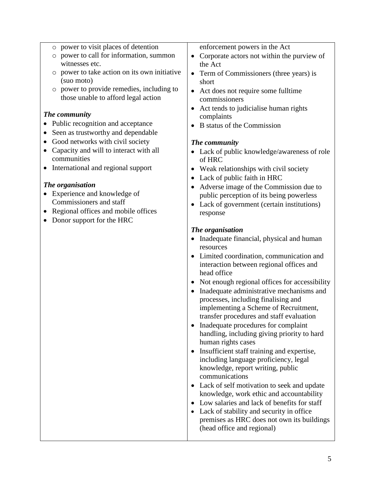- o power to visit places of detention
- o power to call for information, summon witnesses etc.
- o power to take action on its own initiative (suo moto)
- o power to provide remedies, including to those unable to afford legal action

#### *The community*

- Public recognition and acceptance
- Seen as trustworthy and dependable
- Good networks with civil society
- Capacity and will to interact with all communities
- International and regional support

#### *The organisation*

- Experience and knowledge of Commissioners and staff
- Regional offices and mobile offices
- Donor support for the HRC

enforcement powers in the Act

- Corporate actors not within the purview of the Act
- Term of Commissioners (three years) is short
- Act does not require some fulltime commissioners
- Act tends to judicialise human rights complaints
- B status of the Commission

#### *The community*

- Lack of public knowledge/awareness of role of HRC
- Weak relationships with civil society
- Lack of public faith in HRC
- Adverse image of the Commission due to public perception of its being powerless
- Lack of government (certain institutions) response

#### *The organisation*

- Inadequate financial, physical and human resources
- Limited coordination, communication and interaction between regional offices and head office
- Not enough regional offices for accessibility
- Inadequate administrative mechanisms and processes, including finalising and implementing a Scheme of Recruitment, transfer procedures and staff evaluation
- Inadequate procedures for complaint handling, including giving priority to hard human rights cases
- Insufficient staff training and expertise, including language proficiency, legal knowledge, report writing, public communications
- Lack of self motivation to seek and update knowledge, work ethic and accountability
- Low salaries and lack of benefits for staff
- Lack of stability and security in office premises as HRC does not own its buildings (head office and regional)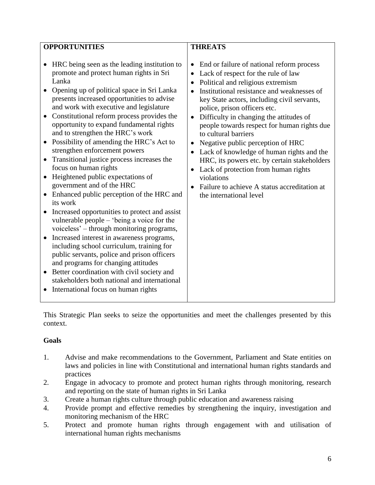This Strategic Plan seeks to seize the opportunities and meet the challenges presented by this context.

#### **Goals**

- 1. Advise and make recommendations to the Government, Parliament and State entities on laws and policies in line with Constitutional and international human rights standards and practices
- 2. Engage in advocacy to promote and protect human rights through monitoring, research and reporting on the state of human rights in Sri Lanka
- 3. Create a human rights culture through public education and awareness raising
- 4. Provide prompt and effective remedies by strengthening the inquiry, investigation and monitoring mechanism of the HRC
- 5. Protect and promote human rights through engagement with and utilisation of international human rights mechanisms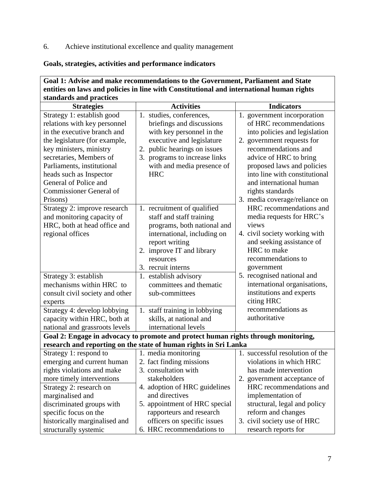### 6. Achieve institutional excellence and quality management

### **Goals, strategies, activities and performance indicators**

| Goal 1: Advise and make recommendations to the Government, Parliament and State                                                                                                                                |                                                                                                                                                                                                                |                                                                                                                                                                                                     |  |
|----------------------------------------------------------------------------------------------------------------------------------------------------------------------------------------------------------------|----------------------------------------------------------------------------------------------------------------------------------------------------------------------------------------------------------------|-----------------------------------------------------------------------------------------------------------------------------------------------------------------------------------------------------|--|
| entities on laws and policies in line with Constitutional and international human rights                                                                                                                       |                                                                                                                                                                                                                |                                                                                                                                                                                                     |  |
| standards and practices                                                                                                                                                                                        |                                                                                                                                                                                                                |                                                                                                                                                                                                     |  |
| <b>Strategies</b>                                                                                                                                                                                              | <b>Activities</b>                                                                                                                                                                                              | <b>Indicators</b>                                                                                                                                                                                   |  |
| Strategy 1: establish good<br>relations with key personnel<br>in the executive branch and<br>the legislature (for example,<br>key ministers, ministry<br>secretaries, Members of<br>Parliaments, institutional | 1. studies, conferences,<br>briefings and discussions<br>with key personnel in the<br>executive and legislature<br>2. public hearings on issues<br>3. programs to increase links<br>with and media presence of | 1. government incorporation<br>of HRC recommendations<br>into policies and legislation<br>2. government requests for<br>recommendations and<br>advice of HRC to bring<br>proposed laws and policies |  |
| heads such as Inspector<br>General of Police and<br><b>Commissioner General of</b><br>Prisons)                                                                                                                 | <b>HRC</b>                                                                                                                                                                                                     | into line with constitutional<br>and international human<br>rights standards<br>3. media coverage/reliance on                                                                                       |  |
| Strategy 2: improve research<br>and monitoring capacity of<br>HRC, both at head office and<br>regional offices                                                                                                 | 1. recruitment of qualified<br>staff and staff training<br>programs, both national and<br>international, including on<br>report writing<br>2. improve IT and library<br>resources<br>3. recruit interns        | HRC recommendations and<br>media requests for HRC's<br>views<br>4. civil society working with<br>and seeking assistance of<br>HRC to make<br>recommendations to<br>government                       |  |
| Strategy 3: establish<br>mechanisms within HRC to<br>consult civil society and other<br>experts<br>Strategy 4: develop lobbying<br>capacity within HRC, both at<br>national and grassroots levels              | 1. establish advisory<br>committees and thematic<br>sub-committees<br>1. staff training in lobbying<br>skills, at national and<br>international levels                                                         | 5. recognised national and<br>international organisations,<br>institutions and experts<br>citing HRC<br>recommendations as<br>authoritative                                                         |  |
|                                                                                                                                                                                                                | Goal 2: Engage in advocacy to promote and protect human rights through monitoring,                                                                                                                             |                                                                                                                                                                                                     |  |
|                                                                                                                                                                                                                | research and reporting on the state of human rights in Sri Lanka                                                                                                                                               |                                                                                                                                                                                                     |  |
| Strategy 1: respond to<br>emerging and current human<br>rights violations and make<br>more timely interventions<br>Strategy 2: research on                                                                     | 1. media monitoring<br>2. fact finding missions<br>3. consultation with<br>stakeholders<br>4. adoption of HRC guidelines                                                                                       | 1. successful resolution of the<br>violations in which HRC<br>has made intervention<br>2. government acceptance of<br>HRC recommendations and                                                       |  |
| marginalised and<br>discriminated groups with<br>specific focus on the<br>historically marginalised and<br>structurally systemic                                                                               | and directives<br>5. appointment of HRC special<br>rapporteurs and research<br>officers on specific issues<br>6. HRC recommendations to                                                                        | implementation of<br>structural, legal and policy<br>reform and changes<br>3. civil society use of HRC<br>research reports for                                                                      |  |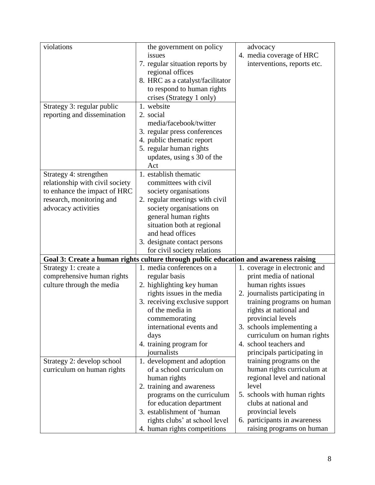| violations                      | the government on policy                                                             | advocacy                        |
|---------------------------------|--------------------------------------------------------------------------------------|---------------------------------|
|                                 | issues                                                                               | 4. media coverage of HRC        |
|                                 | 7. regular situation reports by                                                      | interventions, reports etc.     |
|                                 | regional offices                                                                     |                                 |
|                                 | 8. HRC as a catalyst/facilitator                                                     |                                 |
|                                 | to respond to human rights                                                           |                                 |
|                                 | crises (Strategy 1 only)                                                             |                                 |
| Strategy 3: regular public      | 1. website                                                                           |                                 |
| reporting and dissemination     | 2. social                                                                            |                                 |
|                                 | media/facebook/twitter                                                               |                                 |
|                                 | 3. regular press conferences                                                         |                                 |
|                                 | 4. public thematic report                                                            |                                 |
|                                 | 5. regular human rights                                                              |                                 |
|                                 | updates, using s 30 of the                                                           |                                 |
|                                 | Act                                                                                  |                                 |
| Strategy 4: strengthen          | 1. establish thematic                                                                |                                 |
| relationship with civil society | committees with civil                                                                |                                 |
| to enhance the impact of HRC    | society organisations                                                                |                                 |
| research, monitoring and        | 2. regular meetings with civil                                                       |                                 |
| advocacy activities             | society organisations on                                                             |                                 |
|                                 | general human rights                                                                 |                                 |
|                                 | situation both at regional                                                           |                                 |
|                                 | and head offices                                                                     |                                 |
|                                 | 3. designate contact persons                                                         |                                 |
|                                 | for civil society relations                                                          |                                 |
|                                 | Goal 3: Create a human rights culture through public education and awareness raising |                                 |
| Strategy 1: create a            | 1. media conferences on a                                                            | 1. coverage in electronic and   |
| comprehensive human rights      | regular basis                                                                        | print media of national         |
| culture through the media       | 2. highlighting key human                                                            | human rights issues             |
|                                 | rights issues in the media                                                           | 2. journalists participating in |
|                                 | 3. receiving exclusive support                                                       | training programs on human      |
|                                 | of the media in                                                                      | rights at national and          |
|                                 | commemorating                                                                        | provincial levels               |
|                                 | international events and                                                             | 3. schools implementing a       |
|                                 | days                                                                                 | curriculum on human rights      |
|                                 | 4. training program for                                                              | 4. school teachers and          |
|                                 | journalists                                                                          | principals participating in     |
| Strategy 2: develop school      | 1. development and adoption                                                          | training programs on the        |
| curriculum on human rights      | of a school curriculum on                                                            | human rights curriculum at      |
|                                 | human rights                                                                         | regional level and national     |
|                                 | 2. training and awareness                                                            | level                           |
|                                 | programs on the curriculum                                                           | 5. schools with human rights    |
|                                 | for education department                                                             | clubs at national and           |
|                                 | 3. establishment of 'human                                                           | provincial levels               |
|                                 | rights clubs' at school level                                                        | 6. participants in awareness    |
|                                 | 4. human rights competitions                                                         | raising programs on human       |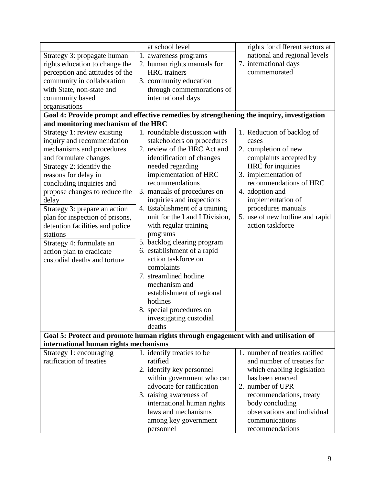|                                       | at school level                                                                           | rights for different sectors at |
|---------------------------------------|-------------------------------------------------------------------------------------------|---------------------------------|
| Strategy 3: propagate human           | 1. awareness programs                                                                     | national and regional levels    |
| rights education to change the        | 2. human rights manuals for                                                               | 7. international days           |
| perception and attitudes of the       | <b>HRC</b> trainers                                                                       | commemorated                    |
| community in collaboration            | 3. community education                                                                    |                                 |
| with State, non-state and             | through commemorations of                                                                 |                                 |
| community based                       | international days                                                                        |                                 |
| organisations                         |                                                                                           |                                 |
|                                       | Goal 4: Provide prompt and effective remedies by strengthening the inquiry, investigation |                                 |
| and monitoring mechanism of the HRC   |                                                                                           |                                 |
| Strategy 1: review existing           | 1. roundtable discussion with                                                             | 1. Reduction of backlog of      |
| inquiry and recommendation            | stakeholders on procedures                                                                | cases                           |
| mechanisms and procedures             | 2. review of the HRC Act and                                                              | 2. completion of new            |
| and formulate changes                 | identification of changes                                                                 | complaints accepted by          |
| Strategy 2: identify the              | needed regarding                                                                          | HRC for inquiries               |
| reasons for delay in                  | implementation of HRC                                                                     | 3. implementation of            |
| concluding inquiries and              | recommendations                                                                           | recommendations of HRC          |
| propose changes to reduce the         | 3. manuals of procedures on                                                               | 4. adoption and                 |
| delay                                 | inquiries and inspections                                                                 | implementation of               |
| Strategy 3: prepare an action         | 4. Establishment of a training                                                            | procedures manuals              |
| plan for inspection of prisons,       | unit for the I and I Division,                                                            | 5. use of new hotline and rapid |
| detention facilities and police       | with regular training                                                                     | action taskforce                |
| stations                              | programs                                                                                  |                                 |
| Strategy 4: formulate an              | 5. backlog clearing program                                                               |                                 |
| action plan to eradicate              | 6. establishment of a rapid                                                               |                                 |
| custodial deaths and torture          | action taskforce on                                                                       |                                 |
|                                       | complaints                                                                                |                                 |
|                                       | 7. streamlined hotline                                                                    |                                 |
|                                       | mechanism and                                                                             |                                 |
|                                       | establishment of regional                                                                 |                                 |
|                                       | hotlines                                                                                  |                                 |
|                                       | 8. special procedures on                                                                  |                                 |
|                                       | investigating custodial                                                                   |                                 |
|                                       | deaths                                                                                    |                                 |
|                                       | Goal 5: Protect and promote human rights through engagement with and utilisation of       |                                 |
| international human rights mechanisms |                                                                                           |                                 |
| Strategy 1: encouraging               | 1. identify treaties to be                                                                | 1. number of treaties ratified  |
| ratification of treaties              | ratified                                                                                  | and number of treaties for      |
|                                       | 2. identify key personnel                                                                 | which enabling legislation      |
|                                       | within government who can                                                                 | has been enacted                |
|                                       | advocate for ratification                                                                 | 2. number of UPR                |
|                                       | 3. raising awareness of                                                                   | recommendations, treaty         |
|                                       | international human rights                                                                | body concluding                 |
|                                       | laws and mechanisms                                                                       | observations and individual     |
|                                       | among key government                                                                      | communications                  |
|                                       | personnel                                                                                 | recommendations                 |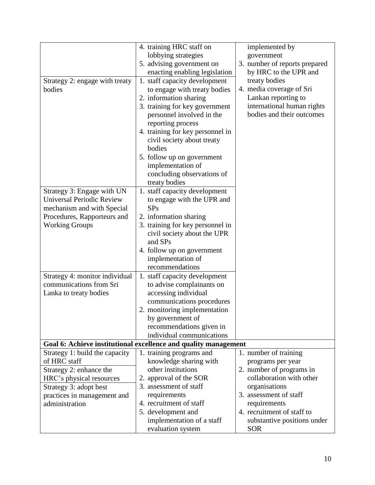|                                                                 | 4. training HRC staff on         | implemented by                |
|-----------------------------------------------------------------|----------------------------------|-------------------------------|
|                                                                 | lobbying strategies              | government                    |
|                                                                 | 5. advising government on        | 3. number of reports prepared |
|                                                                 | enacting enabling legislation    | by HRC to the UPR and         |
| Strategy 2: engage with treaty                                  | 1. staff capacity development    | treaty bodies                 |
| bodies                                                          | to engage with treaty bodies     | 4. media coverage of Sri      |
|                                                                 | 2. information sharing           | Lankan reporting to           |
|                                                                 | 3. training for key government   | international human rights    |
|                                                                 | personnel involved in the        | bodies and their outcomes     |
|                                                                 | reporting process                |                               |
|                                                                 | 4. training for key personnel in |                               |
|                                                                 | civil society about treaty       |                               |
|                                                                 | bodies                           |                               |
|                                                                 | 5. follow up on government       |                               |
|                                                                 | implementation of                |                               |
|                                                                 | concluding observations of       |                               |
|                                                                 | treaty bodies                    |                               |
| Strategy 3: Engage with UN                                      | 1. staff capacity development    |                               |
| <b>Universal Periodic Review</b>                                | to engage with the UPR and       |                               |
| mechanism and with Special                                      | <b>SPs</b>                       |                               |
| Procedures, Rapporteurs and                                     | 2. information sharing           |                               |
| <b>Working Groups</b>                                           | 3. training for key personnel in |                               |
|                                                                 | civil society about the UPR      |                               |
|                                                                 | and SPs                          |                               |
|                                                                 | 4. follow up on government       |                               |
|                                                                 | implementation of                |                               |
|                                                                 | recommendations                  |                               |
| Strategy 4: monitor individual                                  | 1. staff capacity development    |                               |
| communications from Sri                                         | to advise complainants on        |                               |
| Lanka to treaty bodies                                          | accessing individual             |                               |
|                                                                 | communications procedures        |                               |
|                                                                 | 2. monitoring implementation     |                               |
|                                                                 | by government of                 |                               |
|                                                                 | recommendations given in         |                               |
|                                                                 | individual communications        |                               |
| Goal 6: Achieve institutional excellence and quality management |                                  |                               |
| Strategy 1: build the capacity                                  | 1. training programs and         | 1. number of training         |
| of HRC staff                                                    | knowledge sharing with           | programs per year             |
| Strategy 2: enhance the                                         | other institutions               | 2. number of programs in      |
| HRC's physical resources                                        | 2. approval of the SOR           | collaboration with other      |
| Strategy 3: adopt best                                          | 3. assessment of staff           | organisations                 |
| practices in management and                                     | requirements                     | 3. assessment of staff        |
| administration                                                  | 4. recruitment of staff          | requirements                  |
|                                                                 | 5. development and               | 4. recruitment of staff to    |
|                                                                 | implementation of a staff        | substantive positions under   |
|                                                                 | evaluation system                | <b>SOR</b>                    |